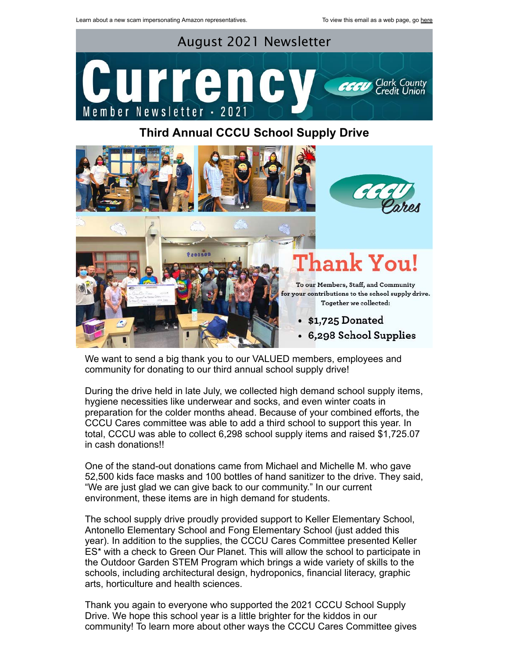

## **Third Annual CCCU School Supply Drive**



We want to send a big thank you to our VALUED members, employees and community for donating to our third annual school supply drive!

During the drive held in late July, we collected high demand school supply items, hygiene necessities like underwear and socks, and even winter coats in preparation for the colder months ahead. Because of your combined efforts, the CCCU Cares committee was able to add a third school to support this year. In total, CCCU was able to collect 6,298 school supply items and raised \$1,725.07 in cash donations!!

One of the stand-out donations came from Michael and Michelle M. who gave 52,500 kids face masks and 100 bottles of hand sanitizer to the drive. They said, "We are just glad we can give back to our community." In our current environment, these items are in high demand for students.

The school supply drive proudly provided support to Keller Elementary School, Antonello Elementary School and Fong Elementary School (just added this year). In addition to the supplies, the CCCU Cares Committee presented Keller ES\* with a check to Green Our Planet. This will allow the school to participate in the Outdoor Garden STEM Program which brings a wide variety of skills to the schools, including architectural design, hydroponics, financial literacy, graphic arts, horticulture and health sciences.

Thank you again to everyone who supported the 2021 CCCU School Supply Drive. We hope this school year is a little brighter for the kiddos in our community! To learn more about other ways the CCCU Cares Committee gives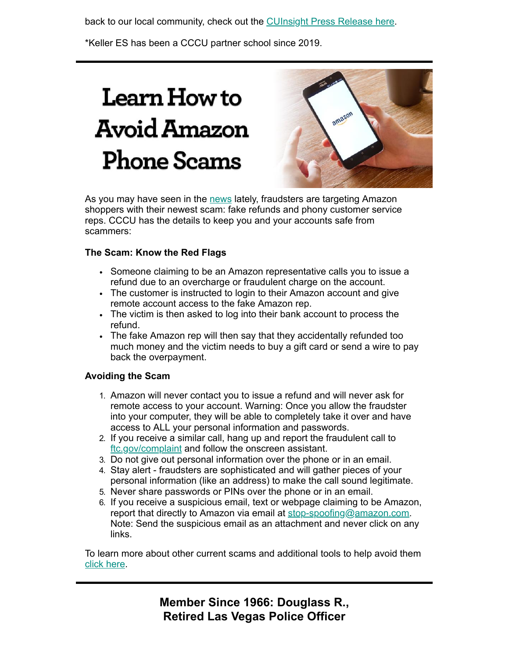back to our local community, check out the [CUInsight Press Release here.](https://www.cuinsight.com/press-release/clark-county-credit-union-making-a-positive-impact-in-2020)

\*Keller ES has been a CCCU partner school since 2019.

# **Learn How to Avoid Amazon Phone Scams**



As you may have seen in the [news](https://youtu.be/KWsLAn6m_04) lately, fraudsters are targeting Amazon shoppers with their newest scam: fake refunds and phony customer service reps. CCCU has the details to keep you and your accounts safe from scammers:

## **The Scam: Know the Red Flags**

- Someone claiming to be an Amazon representative calls you to issue a refund due to an overcharge or fraudulent charge on the account.
- The customer is instructed to login to their Amazon account and give remote account access to the fake Amazon rep.
- The victim is then asked to log into their bank account to process the refund.
- The fake Amazon rep will then say that they accidentally refunded too much money and the victim needs to buy a gift card or send a wire to pay back the overpayment.

### **Avoiding the Scam**

- 1. Amazon will never contact you to issue a refund and will never ask for remote access to your account. Warning: Once you allow the fraudster into your computer, they will be able to completely take it over and have access to ALL your personal information and passwords.
- 2. If you receive a similar call, hang up and report the fraudulent call to [ftc.gov/complaint](http://reportfraud.ftc.gov/#/) and follow the onscreen assistant.
- 3. Do not give out personal information over the phone or in an email.
- 4. Stay alert fraudsters are sophisticated and will gather pieces of your personal information (like an address) to make the call sound legitimate.
- 5. Never share passwords or PINs over the phone or in an email.
- 6. If you receive a suspicious email, text or webpage claiming to be Amazon, report that directly to Amazon via email at [stop-spoofing@amazon.com.](mailto:stop-spoofing@amazon.com) Note: Send the suspicious email as an attachment and never click on any links.

To learn more about other current scams and additional tools to help avoid them [click here.](https://www.ccculv.org/CustomContent.aspx?Name=Wire%20Transfer%20Fraud)

> **Member Since 1966: Douglass R., Retired Las Vegas Police Officer**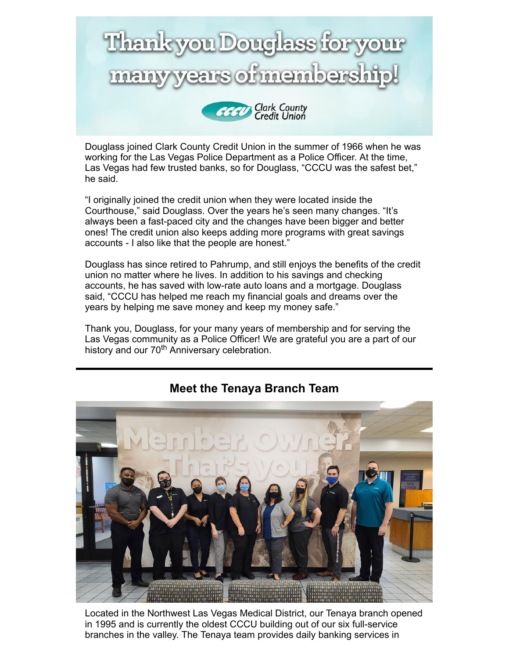

Douglass joined Clark County Credit Union in the summer of 1966 when he was working for the Las Vegas Police Department as a Police Officer. At the time, Las Vegas had few trusted banks, so for Douglass, "CCCU was the safest bet," he said.

"I originally joined the credit union when they were located inside the Courthouse," said Douglass. Over the years he's seen many changes. "It's always been a fast-paced city and the changes have been bigger and better ones! The credit union also keeps adding more programs with great savings accounts - I also like that the people are honest."

Douglass has since retired to Pahrump, and still enjoys the benefits of the credit union no matter where he lives. In addition to his savings and checking accounts, he has saved with low-rate auto loans and a mortgage. Douglass said, "CCCU has helped me reach my financial goals and dreams over the years by helping me save money and keep my money safe."

Thank you, Douglass, for your many years of membership and for serving the Las Vegas community as a Police Officer! We are grateful you are a part of our history and our 70<sup>th</sup> Anniversary celebration.



# **Meet the Tenaya Branch Team**

Located in the Northwest Las Vegas Medical District, our Tenaya branch opened in 1995 and is currently the oldest CCCU building out of our six full-service branches in the valley. The Tenaya team provides daily banking services in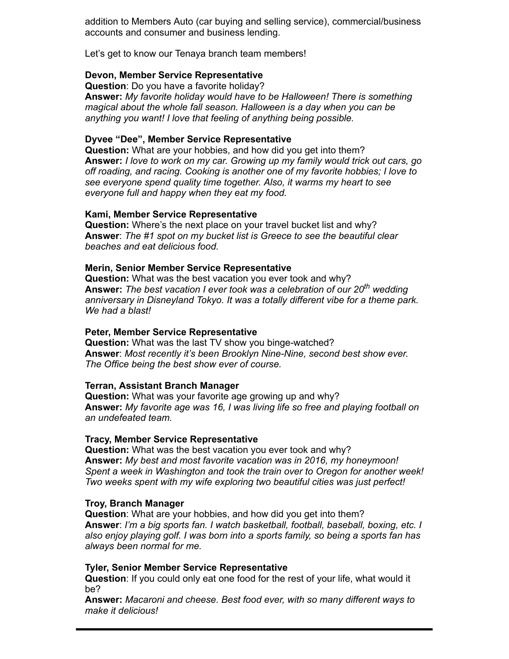addition to Members Auto (car buying and selling service), commercial/business accounts and consumer and business lending.

Let's get to know our Tenaya branch team members!

#### **Devon, Member Service Representative**

**Question**: Do you have a favorite holiday? **Answer:** *My favorite holiday would have to be Halloween! There is something magical about the whole fall season. Halloween is a day when you can be anything you want! I love that feeling of anything being possible.*

#### **Dyvee "Dee", Member Service Representative**

**Question:** What are your hobbies, and how did you get into them? **Answer:** *I love to work on my car. Growing up my family would trick out cars, go off roading, and racing. Cooking is another one of my favorite hobbies; I love to see everyone spend quality time together. Also, it warms my heart to see everyone full and happy when they eat my food.*

#### **Kami, Member Service Representative**

**Question:** Where's the next place on your travel bucket list and why? **Answer**: *The #1 spot on my bucket list is Greece to see the beautiful clear beaches and eat delicious food.*

#### **Merin, Senior Member Service Representative**

**Question:** What was the best vacation you ever took and why? **Answer:** *The best vacation I ever took was a celebration of our 20th wedding anniversary in Disneyland Tokyo. It was a totally different vibe for a theme park. We had a blast!*

#### **Peter, Member Service Representative**

**Question:** What was the last TV show you binge-watched? **Answer**: *Most recently it's been Brooklyn Nine-Nine, second best show ever. The Office being the best show ever of course.*

#### **Terran, Assistant Branch Manager**

**Question:** What was your favorite age growing up and why? **Answer:** *My favorite age was 16, I was living life so free and playing football on an undefeated team.*

#### **Tracy, Member Service Representative**

**Question:** What was the best vacation you ever took and why? **Answer:** *My best and most favorite vacation was in 2016, my honeymoon! Spent a week in Washington and took the train over to Oregon for another week! Two weeks spent with my wife exploring two beautiful cities was just perfect!*

#### **Troy, Branch Manager**

**Question**: What are your hobbies, and how did you get into them? **Answer**: *I'm a big sports fan. I watch basketball, football, baseball, boxing, etc. I also enjoy playing golf. I was born into a sports family, so being a sports fan has always been normal for me.*

#### **Tyler, Senior Member Service Representative**

**Question**: If you could only eat one food for the rest of your life, what would it be?

**Answer:** *Macaroni and cheese. Best food ever, with so many different ways to make it delicious!*